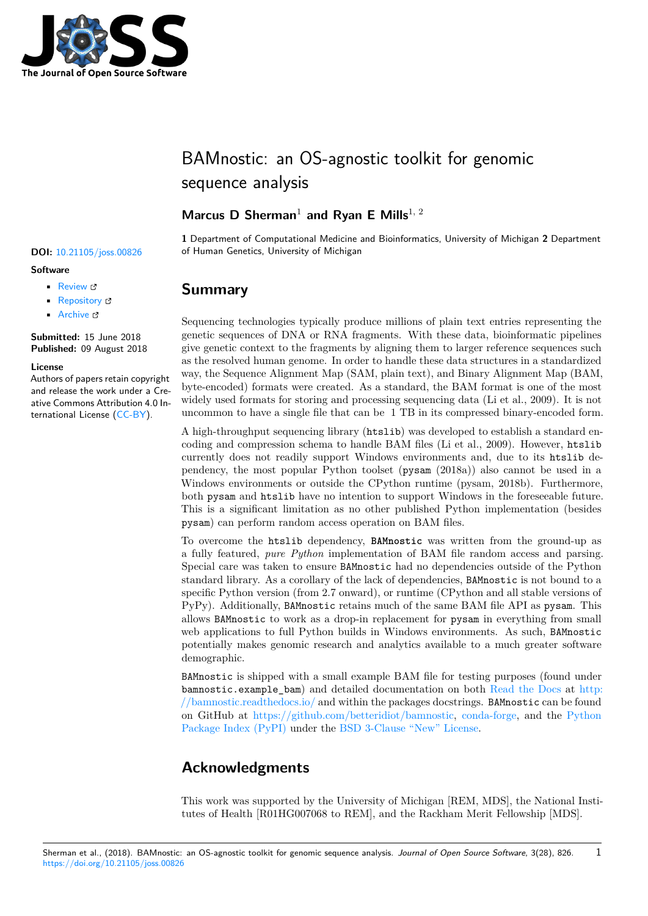

# BAMnostic: an OS-agnostic toolkit for genomic sequence analysis

### **Marcus D Sherman**<sup>1</sup> **and Ryan E Mills**1, 2

**1** Department of Computational Medicine and Bioinformatics, University of Michigan **2** Department **DOI:** 10.21105/joss.00826 of Human Genetics, University of Michigan

### **Summary**

Sequencing technologies typically produce millions of plain text entries representing the genetic sequences of DNA or RNA fragments. With these data, bioinformatic pipelines give genetic context to the fragments by aligning them to larger reference sequences such as the resolved human genome. In order to handle these data structures in a standardized way, the Sequence Alignment Map (SAM, plain text), and Binary Alignment Map (BAM, byte-encoded) formats were created. As a standard, the BAM format is one of the most widely used formats for storing and processing sequencing data (Li et al., 2009). It is not uncommon to have a single file that can be 1 TB in its compressed binary-encoded form.

A high-throughput sequencing library (htslib) was developed to establish a standard encoding and compression schema to handle BAM files (Li et al., 2009). However, htslib currently does not readily support Windows environments and, due to its htslib dependency, the most popular Python toolset (pysam (2018a)) also cannot be used in a Windows environments or outside the CPython runtime (pysam, 2018b). Furthermore, both pysam and htslib have no intention to support Windows in the foreseeable future. This is a significant limitation as no other published Python implementation (besides pysam) can perform random access operation on BAM files.

To overcome the htslib dependency, **BAMnostic** was written from the ground-up as a fully featured, *pure Python* implementation of BAM file random access and parsing. Special care was taken to ensure BAMnostic had no dependencies outside of the Python standard library. As a corollary of the lack of dependencies, BAMnostic is not bound to a specific Python version (from 2.7 onward), or runtime (CPython and all stable versions of PyPy). Additionally, BAMnostic retains much of the same BAM file API as pysam. This allows BAMnostic to work as a drop-in replacement for pysam in everything from small web applications to full Python builds in Windows environments. As such, BAMnostic potentially makes genomic research and analytics available to a much greater software demographic.

BAMnostic is shipped with a small example BAM file for testing purposes (found under bamnostic.example\_bam) and detailed documentation on both Read the Docs at http: //bamnostic.readthedocs.io/ and within the packages docstrings. BAMnostic can be found on GitHub at https://github.com/betteridiot/bamnostic, conda-forge, and the Python Package Index (PyPI) under the BSD 3-Clause "New" License.

## **[Acknowle](http://bamnostic.readthedocs.io/)[dgments](https://github.com/betteridiot/bamnostic)**

This work was supported by the University of Michigan [REM, MDS], the National Institutes of Health [R01HG007068 to REM], and the Rackham Merit Fellowship [MDS].

1

### **Software**

- Review C
- [Repository](https://doi.org/10.21105/joss.00826)  $\circ$
- Archive

**Subm[itted:](https://github.com/openjournals/joss-reviews/issues/826)** 15 June 2018 **Published:** [09 Au](https://github.com/betteridiot/bamnostic)gust 2018

### **Licen[se](https://doi.org/10.5281/zenodo.1341915)**

Authors of papers retain copyright and release the work under a Creative Commons Attribution 4.0 International License (CC-BY).